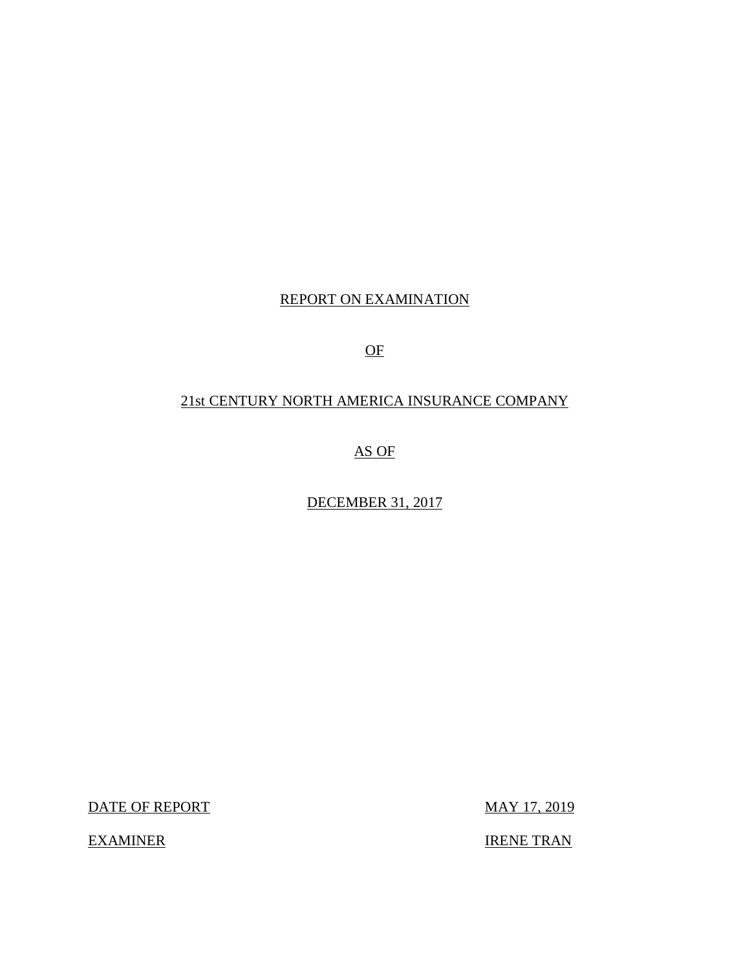## REPORT ON EXAMINATION

OF

## 21st CENTURY NORTH AMERICA INSURANCE COMPANY

AS OF

DECEMBER 31, 2017

DATE OF REPORT MAY 17, 2019

**EXAMINER** 

**IRENE TRAN**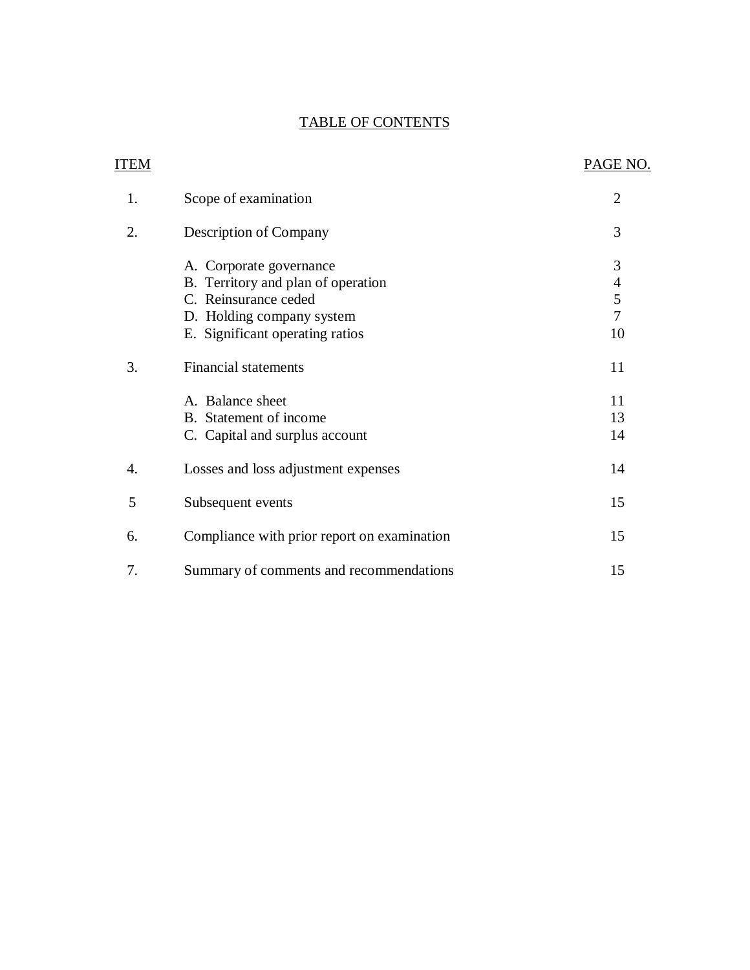## TABLE OF CONTENTS

| <b>ITEM</b> |                                                                                                                                                                                                                                    | PAGE NO.                                                                           |
|-------------|------------------------------------------------------------------------------------------------------------------------------------------------------------------------------------------------------------------------------------|------------------------------------------------------------------------------------|
| 1.          | Scope of examination                                                                                                                                                                                                               | $\overline{2}$                                                                     |
| 2.          | Description of Company                                                                                                                                                                                                             | 3                                                                                  |
| 3.          | A. Corporate governance<br>B. Territory and plan of operation<br>C. Reinsurance ceded<br>D. Holding company system<br>E. Significant operating ratios<br><b>Financial statements</b><br>A. Balance sheet<br>B. Statement of income | 3<br>$\overline{\mathcal{A}}$<br>5<br>$\overline{7}$<br>10<br>11<br>11<br>13<br>14 |
| 4.          | C. Capital and surplus account<br>Losses and loss adjustment expenses                                                                                                                                                              | 14                                                                                 |
| 5           | Subsequent events                                                                                                                                                                                                                  | 15                                                                                 |
| 6.          | Compliance with prior report on examination                                                                                                                                                                                        | 15                                                                                 |
| 7.          | Summary of comments and recommendations                                                                                                                                                                                            | 15                                                                                 |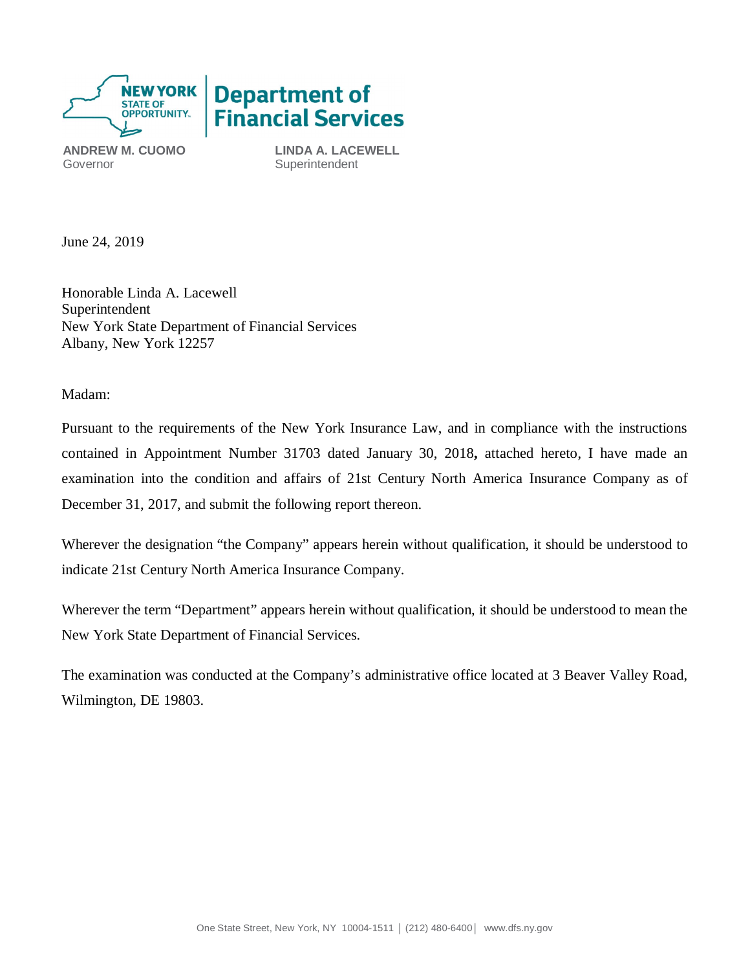

Governor **Superintendent** 

 **ANDREW M. CUOMO LINDA A. LACEWELL** 

June 24, 2019

 Honorable Linda A. Lacewell New York State Department of Financial Services Albany, New York 12257 Superintendent

Madam:

 Pursuant to the requirements of the New York Insurance Law, and in compliance with the instructions contained in Appointment Number 31703 dated January 30, 2018**,** attached hereto, I have made an examination into the condition and affairs of 21st Century North America Insurance Company as of December 31, 2017, and submit the following report thereon.

 Wherever the designation "the Company" appears herein without qualification, it should be understood to indicate 21st Century North America Insurance Company.

 Wherever the term "Department" appears herein without qualification, it should be understood to mean the New York State Department of Financial Services.

 The examination was conducted at the Company's administrative office located at 3 Beaver Valley Road, Wilmington, DE 19803.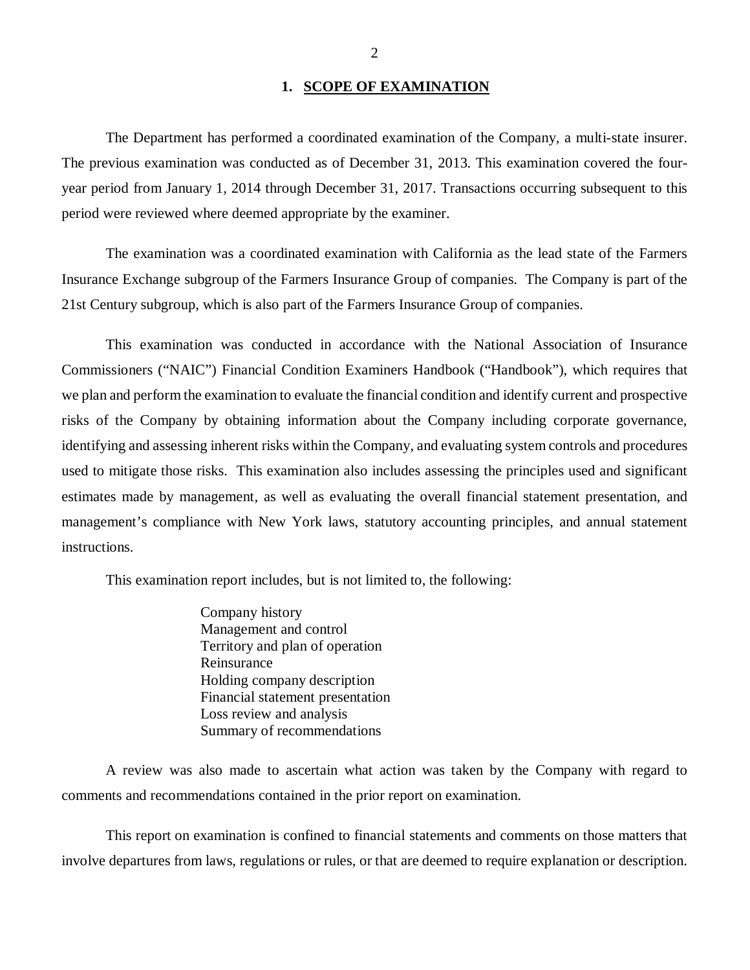### **1. SCOPE OF EXAMINATION**

<span id="page-3-0"></span> The previous examination was conducted as of December 31, 2013. This examination covered the four- year period from January 1, 2014 through December 31, 2017. Transactions occurring subsequent to this period were reviewed where deemed appropriate by the examiner. The Department has performed a coordinated examination of the Company*,* a multi-state insurer.

 Insurance Exchange subgroup of the Farmers Insurance Group of companies. The Company is part of the 21st Century subgroup, which is also part of the Farmers Insurance Group of companies. The examination was a coordinated examination with California as the lead state of the Farmers

 Commissioners ("NAIC") Financial Condition Examiners Handbook ("Handbook"), which requires that we plan and perform the examination to evaluate the financial condition and identify current and prospective risks of the Company by obtaining information about the Company including corporate governance, identifying and assessing inherent risks within the Company, and evaluating system controls and procedures used to mitigate those risks. This examination also includes assessing the principles used and significant estimates made by management, as well as evaluating the overall financial statement presentation, and management's compliance with New York laws, statutory accounting principles, and annual statement instructions. This examination was conducted in accordance with the National Association of Insurance

This examination report includes, but is not limited to, the following:

 Management and control Territory and plan of operation Financial statement presentation Summary of recommendations Company history Reinsurance Holding company description Loss review and analysis

 comments and recommendations contained in the prior report on examination. A review was also made to ascertain what action was taken by the Company with regard to

 involve departures from laws, regulations or rules, or that are deemed to require explanation or description. This report on examination is confined to financial statements and comments on those matters that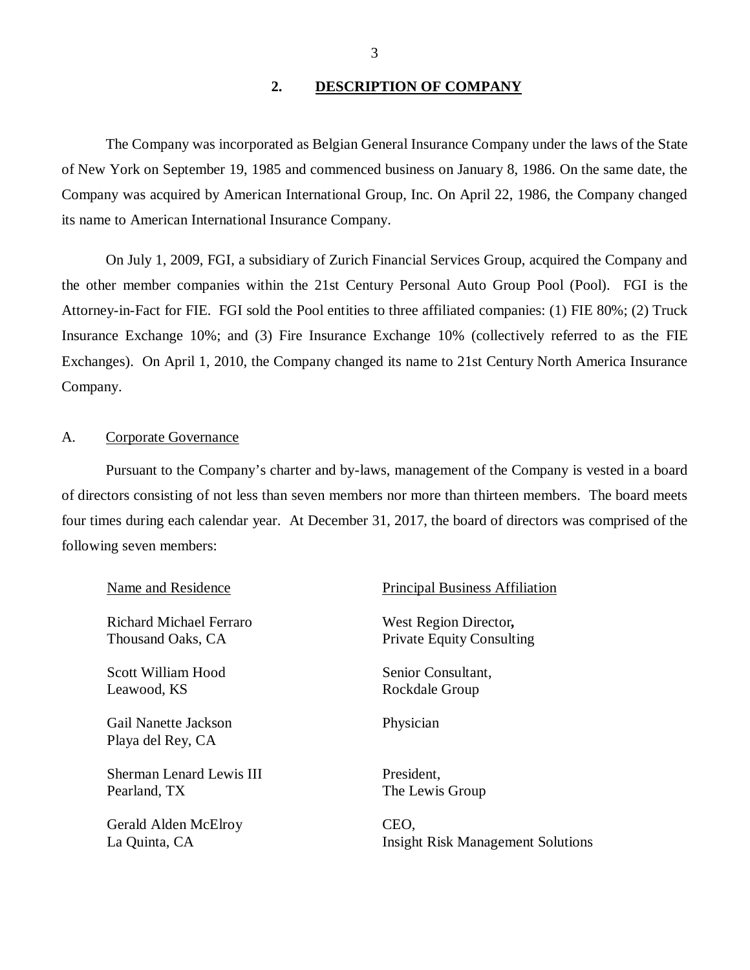### **2. DESCRIPTION OF COMPANY**

<span id="page-4-0"></span> of New York on September 19, 1985 and commenced business on January 8, 1986. On the same date, the Company was acquired by American International Group, Inc. On April 22, 1986, the Company changed its name to American International Insurance Company. The Company was incorporated as Belgian General Insurance Company under the laws of the State

 the other member companies within the 21st Century Personal Auto Group Pool (Pool). FGI is the Attorney-in-Fact for FIE. FGI sold the Pool entities to three affiliated companies: (1) FIE 80%; (2) Truck Insurance Exchange 10%; and (3) Fire Insurance Exchange 10% (collectively referred to as the FIE Exchanges). On April 1, 2010, the Company changed its name to 21st Century North America Insurance Company. Company.<br>A. Corporate Governance On July 1, 2009, FGI, a subsidiary of Zurich Financial Services Group, acquired the Company and

 Pursuant to the Company's charter and by-laws, management of the Company is vested in a board of directors consisting of not less than seven members nor more than thirteen members. The board meets four times during each calendar year. At December 31, 2017, the board of directors was comprised of the following seven members:

| Name and Residence                        | <b>Principal Business Affiliation</b>    |
|-------------------------------------------|------------------------------------------|
| Richard Michael Ferraro                   | West Region Director,                    |
| Thousand Oaks, CA                         | <b>Private Equity Consulting</b>         |
| Scott William Hood                        | Senior Consultant,                       |
| Leawood, KS                               | Rockdale Group                           |
| Gail Nanette Jackson<br>Playa del Rey, CA | Physician                                |
| Sherman Lenard Lewis III                  | President,                               |
| Pearland, TX                              | The Lewis Group                          |
| Gerald Alden McElroy                      | CEO.                                     |
| La Quinta, CA                             | <b>Insight Risk Management Solutions</b> |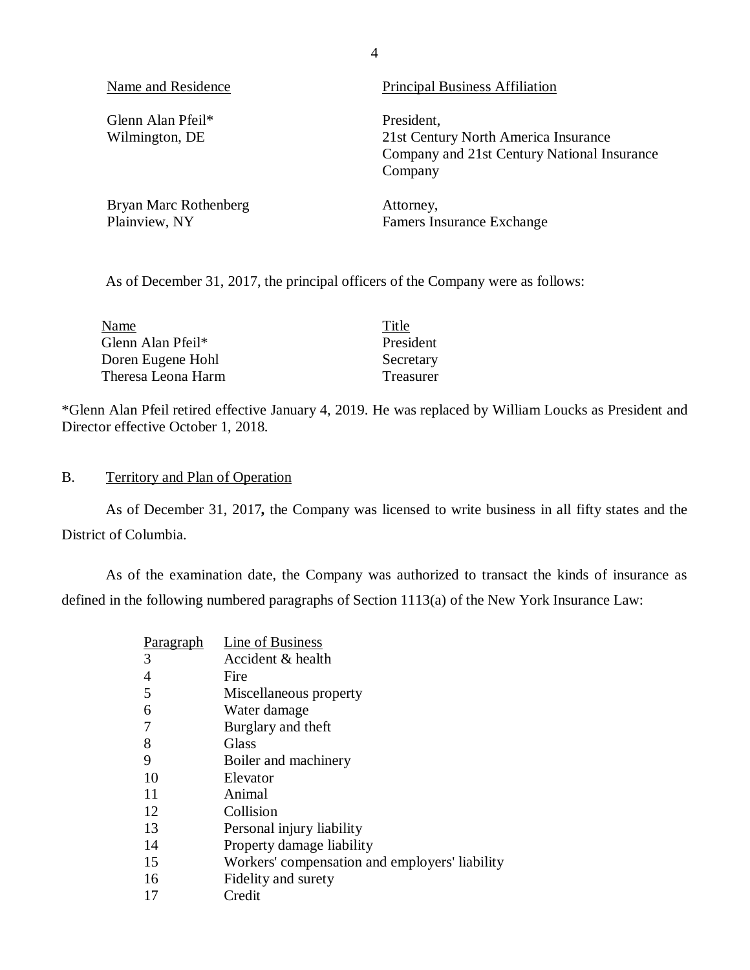<span id="page-5-0"></span>Name and Residence **Principal Business** Affiliation

Glenn Alan Pfeil\* President, Wilmington, DE

Bryan Marc Rothenberg **Attorney**, Plainview, NY

Famers Insurance Exchange

Company and 21st Century National Insurance

21st Century North America Insurance

As of December 31, 2017, the principal officers of the Company were as follows:

| Name               | Title     |
|--------------------|-----------|
| Glenn Alan Pfeil*  | President |
| Doren Eugene Hohl  | Secretary |
| Theresa Leona Harm | Treasurer |

 \*Glenn Alan Pfeil retired effective January 4, 2019. He was replaced by William Loucks as President and Director effective October 1, 2018.

## B. Territory and Plan of Operation

 District of Columbia. As of December 31, 2017*,* the Company was licensed to write business in all fifty states and the

 defined in the following numbered paragraphs of Section 1113(a) of the New York Insurance Law: As of the examination date, the Company was authorized to transact the kinds of insurance as

| Paragraph      | Line of Business                               |
|----------------|------------------------------------------------|
| 3              | Accident & health                              |
| $\overline{4}$ | Fire                                           |
| 5              | Miscellaneous property                         |
| 6              | Water damage                                   |
| 7              | Burglary and theft                             |
| 8              | Glass                                          |
| 9              | Boiler and machinery                           |
| 10             | Elevator                                       |
| 11             | Animal                                         |
| 12             | Collision                                      |
| 13             | Personal injury liability                      |
| 14             | Property damage liability                      |
| 15             | Workers' compensation and employers' liability |
| 16             | Fidelity and surety                            |
| 17             | Credit                                         |

4

Company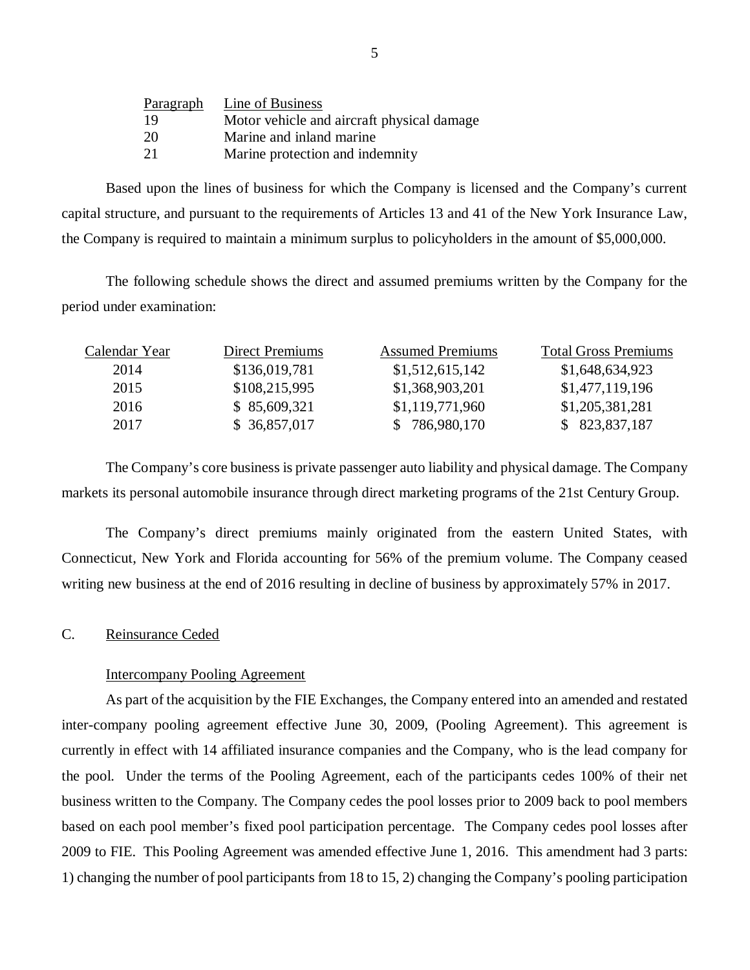<span id="page-6-0"></span>

| Paragraph | Line of Business                           |
|-----------|--------------------------------------------|
| 19        | Motor vehicle and aircraft physical damage |
| 20        | Marine and inland marine                   |
| 21        | Marine protection and indemnity            |

 Based upon the lines of business for which the Company is licensed and the Company's current capital structure, and pursuant to the requirements of Articles 13 and 41 of the New York Insurance Law, the Company is required to maintain a minimum surplus to policyholders in the amount of \$5,000,000.

The following schedule shows the direct and assumed premiums written by the Company for the period under examination:

| Calendar Year | Direct Premiums | <b>Assumed Premiums</b> | <b>Total Gross Premiums</b> |
|---------------|-----------------|-------------------------|-----------------------------|
| 2014          | \$136,019,781   | \$1,512,615,142         | \$1,648,634,923             |
| 2015          | \$108,215,995   | \$1,368,903,201         | \$1,477,119,196             |
| 2016          | \$85,609,321    | \$1,119,771,960         | \$1,205,381,281             |
| 2017          | \$36,857,017    | \$786,980,170           | \$823,837,187               |

 markets its personal automobile insurance through direct marketing programs of the 21st Century Group. The Company's core business is private passenger auto liability and physical damage. The Company

 Connecticut, New York and Florida accounting for 56% of the premium volume. The Company ceased writing new business at the end of 2016 resulting in decline of business by approximately 57% in 2017. The Company's direct premiums mainly originated from the eastern United States, with

### C. Reinsurance Ceded

### Intercompany Pooling Agreement

 inter-company pooling agreement effective June 30, 2009, (Pooling Agreement). This agreement is currently in effect with 14 affiliated insurance companies and the Company, who is the lead company for the pool. Under the terms of the Pooling Agreement, each of the participants cedes 100% of their net business written to the Company. The Company cedes the pool losses prior to 2009 back to pool members based on each pool member's fixed pool participation percentage. The Company cedes pool losses after 2009 to FIE. This Pooling Agreement was amended effective June 1, 2016. This amendment had 3 parts: 1) changing the number of pool participants from 18 to 15, 2) changing the Company's pooling participation As part of the acquisition by the FIE Exchanges, the Company entered into an amended and restated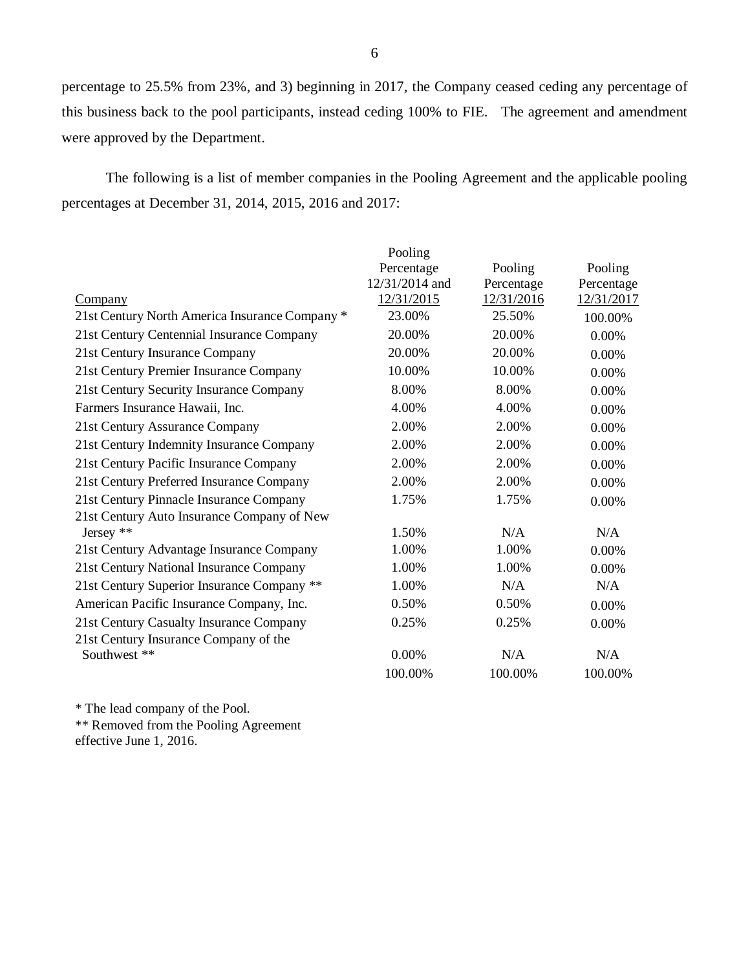percentage to 25.5% from 23%, and 3) beginning in 2017, the Company ceased ceding any percentage of this business back to the pool participants, instead ceding 100% to FIE. The agreement and amendment were approved by the Department.

 percentages at December 31, 2014, 2015, 2016 and 2017: The following is a list of member companies in the Pooling Agreement and the applicable pooling

|                                                | Pooling        |            |            |
|------------------------------------------------|----------------|------------|------------|
|                                                | Percentage     | Pooling    | Pooling    |
|                                                | 12/31/2014 and | Percentage | Percentage |
| Company                                        | 12/31/2015     | 12/31/2016 | 12/31/2017 |
| 21st Century North America Insurance Company * | 23.00%         | 25.50%     | 100.00%    |
| 21st Century Centennial Insurance Company      | 20.00%         | 20.00%     | 0.00%      |
| 21st Century Insurance Company                 | 20.00%         | 20.00%     | 0.00%      |
| 21st Century Premier Insurance Company         | 10.00%         | 10.00%     | 0.00%      |
| 21st Century Security Insurance Company        | 8.00%          | 8.00%      | 0.00%      |
| Farmers Insurance Hawaii, Inc.                 | 4.00%          | 4.00%      | 0.00%      |
| 21st Century Assurance Company                 | 2.00%          | 2.00%      | 0.00%      |
| 21st Century Indemnity Insurance Company       | 2.00%          | 2.00%      | 0.00%      |
| 21st Century Pacific Insurance Company         | 2.00%          | 2.00%      | 0.00%      |
| 21st Century Preferred Insurance Company       | 2.00%          | 2.00%      | 0.00%      |
| 21st Century Pinnacle Insurance Company        | 1.75%          | 1.75%      | 0.00%      |
| 21st Century Auto Insurance Company of New     |                |            |            |
| Jersey **                                      | 1.50%          | N/A        | N/A        |
| 21st Century Advantage Insurance Company       | 1.00%          | 1.00%      | 0.00%      |
| 21st Century National Insurance Company        | 1.00%          | 1.00%      | 0.00%      |
| 21st Century Superior Insurance Company **     | 1.00%          | N/A        | N/A        |
| American Pacific Insurance Company, Inc.       | 0.50%          | 0.50%      | 0.00%      |
| 21st Century Casualty Insurance Company        | 0.25%          | 0.25%      | 0.00%      |
| 21st Century Insurance Company of the          |                |            |            |
| Southwest **                                   | 0.00%          | N/A        | N/A        |
|                                                | 100.00%        | 100.00%    | 100.00%    |

\* The lead company of the Pool.

 \*\* Removed from the Pooling Agreement effective June 1, 2016.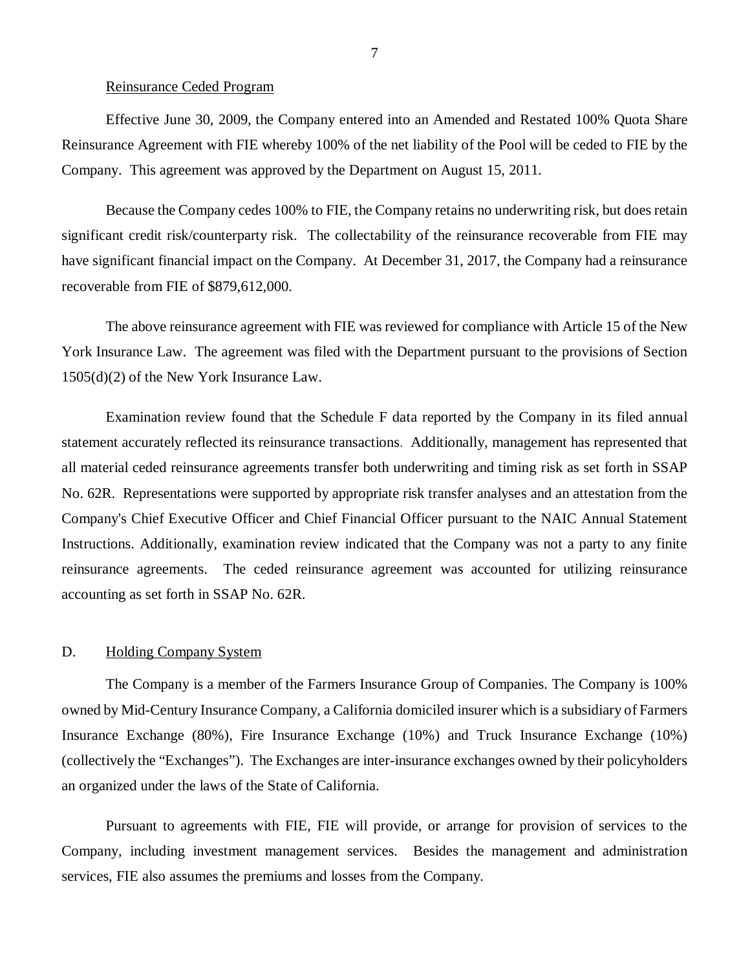### Reinsurance Ceded Program

<span id="page-8-0"></span> Effective June 30, 2009, the Company entered into an Amended and Restated 100% Quota Share Reinsurance Agreement with FIE whereby 100% of the net liability of the Pool will be ceded to FIE by the Company. This agreement was approved by the Department on August 15, 2011.

 Because the Company cedes 100% to FIE, the Company retains no underwriting risk, but does retain significant credit risk/counterparty risk. The collectability of the reinsurance recoverable from FIE may have significant financial impact on the Company. At December 31, 2017, the Company had a reinsurance recoverable from FIE of \$879,612,000.

 York Insurance Law. The agreement was filed with the Department pursuant to the provisions of Section 1505(d)(2) of the New York Insurance Law. The above reinsurance agreement with FIE was reviewed for compliance with Article 15 of the New

 Examination review found that the Schedule F data reported by the Company in its filed annual statement accurately reflected its reinsurance transactions. Additionally, management has represented that all material ceded reinsurance agreements transfer both underwriting and timing risk as set forth in SSAP No. 62R. Representations were supported by appropriate risk transfer analyses and an attestation from the Company's Chief Executive Officer and Chief Financial Officer pursuant to the NAIC Annual Statement Instructions. Additionally, examination review indicated that the Company was not a party to any finite reinsurance agreements. The ceded reinsurance agreement was accounted for utilizing reinsurance accounting as set forth in SSAP No. 62R.

### D. Holding Company System

 owned by Mid-Century Insurance Company, a California domiciled insurer which is a subsidiary of Farmers Insurance Exchange (80%), Fire Insurance Exchange (10%) and Truck Insurance Exchange (10%) (collectively the "Exchanges"). The Exchanges are inter-insurance exchanges owned by their policyholders an organized under the laws of the State of California. The Company is a member of the Farmers Insurance Group of Companies. The Company is 100%

 Pursuant to agreements with FIE, FIE will provide, or arrange for provision of services to the Company, including investment management services. Besides the management and administration services, FIE also assumes the premiums and losses from the Company.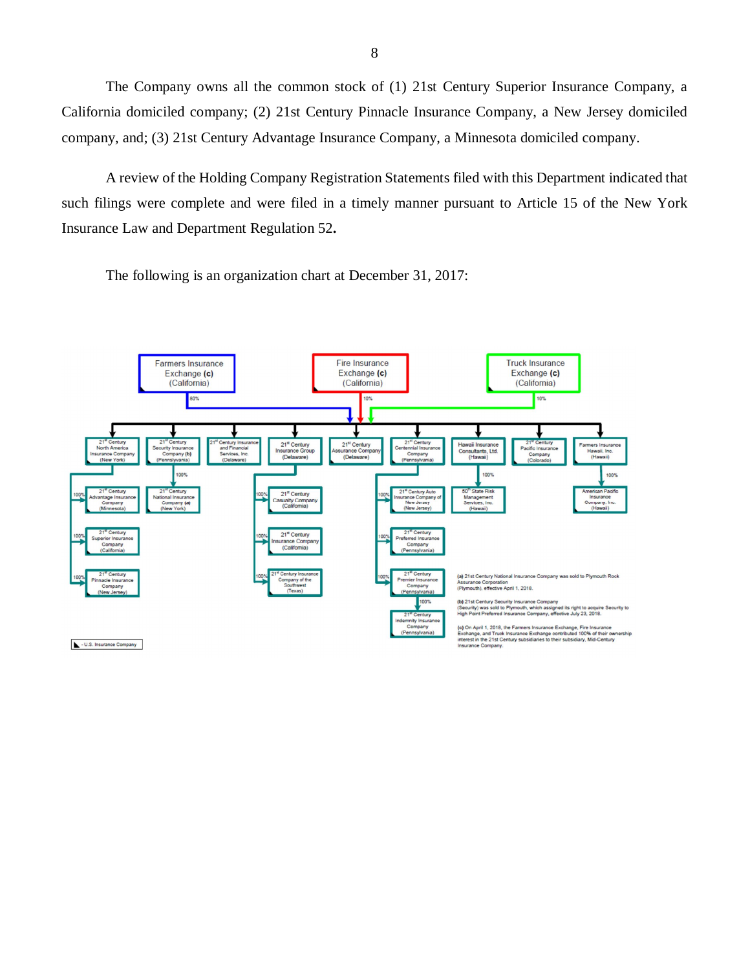California domiciled company; (2) 21st Century Pinnacle Insurance Company, a New Jersey domiciled company, and; (3) 21st Century Advantage Insurance Company, a Minnesota domiciled company. The Company owns all the common stock of (1) 21st Century Superior Insurance Company, a

 such filings were complete and were filed in a timely manner pursuant to Article 15 of the New York Insurance Law and Department Regulation 52**.**  A review of the Holding Company Registration Statements filed with this Department indicated that

The following is an organization chart at December 31, 2017:

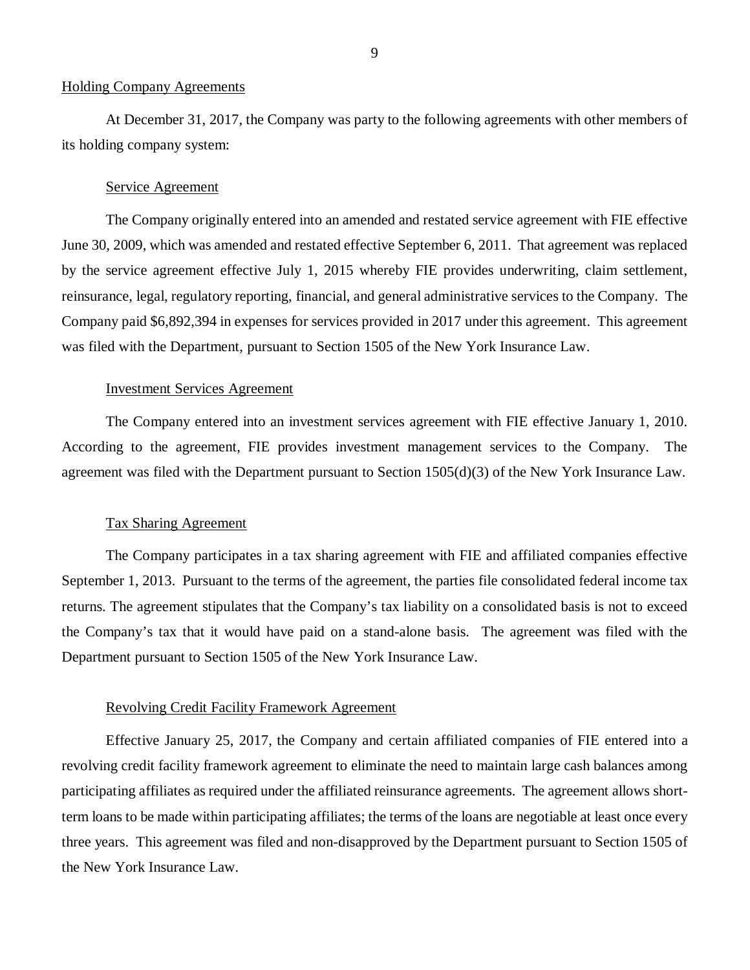### Holding Company Agreements

 its holding company system: At December 31, 2017, the Company was party to the following agreements with other members of

### Service Agreement

 June 30, 2009, which was amended and restated effective September 6, 2011. That agreement was replaced by the service agreement effective July 1, 2015 whereby FIE provides underwriting, claim settlement, reinsurance, legal, regulatory reporting, financial, and general administrative services to the Company. The Company paid \$6,892,394 in expenses for services provided in 2017 under this agreement. This agreement was filed with the Department, pursuant to Section 1505 of the New York Insurance Law. The Company originally entered into an amended and restated service agreement with FIE effective

### Investment Services Agreement

 According to the agreement, FIE provides investment management services to the Company. The agreement was filed with the Department pursuant to Section 1505(d)(3) of the New York Insurance Law. The Company entered into an investment services agreement with FIE effective January 1, 2010.

### Tax Sharing Agreement

 September 1, 2013. Pursuant to the terms of the agreement, the parties file consolidated federal income tax returns. The agreement stipulates that the Company's tax liability on a consolidated basis is not to exceed the Company's tax that it would have paid on a stand-alone basis. The agreement was filed with the Department pursuant to Section 1505 of the New York Insurance Law. The Company participates in a tax sharing agreement with FIE and affiliated companies effective

### Revolving Credit Facility Framework Agreement

 Effective January 25, 2017, the Company and certain affiliated companies of FIE entered into a revolving credit facility framework agreement to eliminate the need to maintain large cash balances among participating affiliates as required under the affiliated reinsurance agreements. The agreement allows short- term loans to be made within participating affiliates; the terms of the loans are negotiable at least once every three years. This agreement was filed and non-disapproved by the Department pursuant to Section 1505 of the New York Insurance Law.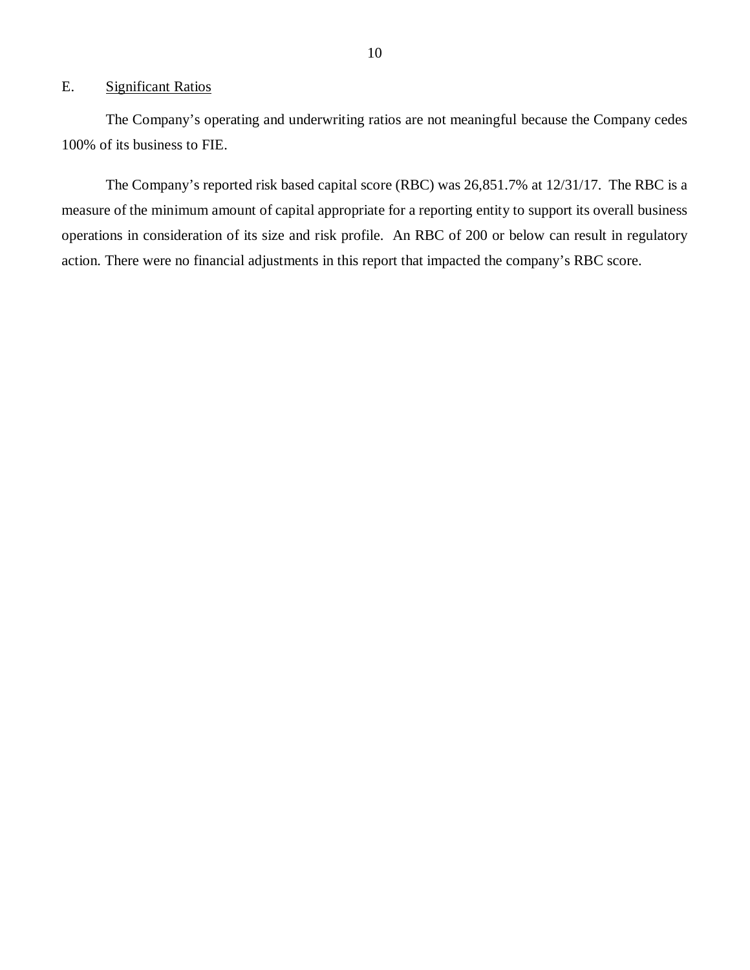### <span id="page-11-0"></span>E. Significant Ratios

 100% of its business to FIE. The Company's operating and underwriting ratios are not meaningful because the Company cedes

 measure of the minimum amount of capital appropriate for a reporting entity to support its overall business operations in consideration of its size and risk profile. An RBC of 200 or below can result in regulatory action. There were no financial adjustments in this report that impacted the company's RBC score. The Company's reported risk based capital score (RBC) was 26,851.7% at 12/31/17. The RBC is a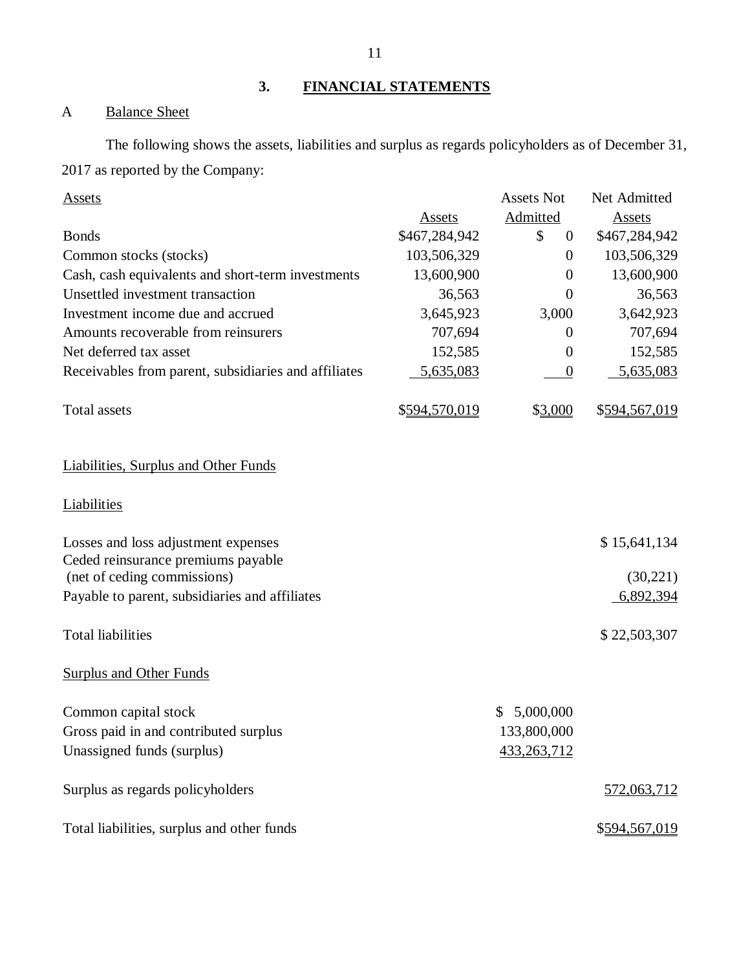**3. FINANCIAL STATEMENTS** 

### A Balance Sheet

 2017 as reported by the Company: The following shows the assets, liabilities and surplus as regards policyholders as of December 31,

| <b>Assets</b>                                        |               | <b>Assets Not</b>    | Net Admitted  |
|------------------------------------------------------|---------------|----------------------|---------------|
|                                                      | Assets        | Admitted             | <b>Assets</b> |
| <b>Bonds</b>                                         | \$467,284,942 | \$<br>$\overline{0}$ | \$467,284,942 |
| Common stocks (stocks)                               | 103,506,329   | $\overline{0}$       | 103,506,329   |
| Cash, cash equivalents and short-term investments    | 13,600,900    | $\overline{0}$       | 13,600,900    |
| Unsettled investment transaction                     | 36,563        | $\overline{0}$       | 36,563        |
| Investment income due and accrued                    | 3,645,923     | 3,000                | 3,642,923     |
| Amounts recoverable from reinsurers                  | 707,694       | $\boldsymbol{0}$     | 707,694       |
| Net deferred tax asset                               | 152,585       | $\theta$             | 152,585       |
| Receivables from parent, subsidiaries and affiliates | 5,635,083     | $\boldsymbol{0}$     | 5,635,083     |
| Total assets                                         | \$594,570,019 | \$3,000              | \$594,567,019 |
| <b>Liabilities, Surplus and Other Funds</b>          |               |                      |               |
| <u>Liabilities</u>                                   |               |                      |               |
| Losses and loss adjustment expenses                  |               |                      | \$15,641,134  |
| Ceded reinsurance premiums payable                   |               |                      |               |
| (net of ceding commissions)                          |               |                      | (30,221)      |
| Payable to parent, subsidiaries and affiliates       |               |                      | 6,892,394     |
| <b>Total liabilities</b>                             |               |                      | \$22,503,307  |
| <b>Surplus and Other Funds</b>                       |               |                      |               |
| Common capital stock                                 |               | 5,000,000<br>S.      |               |
| Gross paid in and contributed surplus                |               | 133,800,000          |               |
| Unassigned funds (surplus)                           |               | 433,263,712          |               |
| Surplus as regards policyholders                     |               |                      | 572,063,712   |
| Total liabilities, surplus and other funds           |               |                      | \$594,567,019 |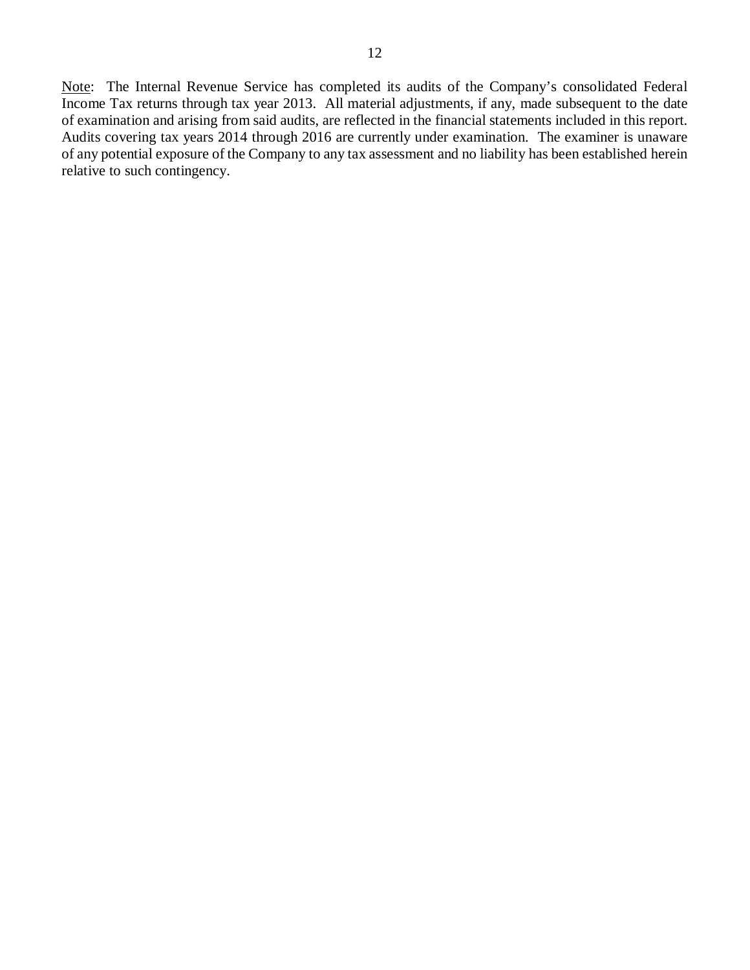Note: The Internal Revenue Service has completed its audits of the Company's consolidated Federal Income Tax returns through tax year 2013. All material adjustments, if any, made subsequent to the date of examination and arising from said audits, are reflected in the financial statements included in this report. Audits covering tax years 2014 through 2016 are currently under examination. The examiner is unaware of any potential exposure of the Company to any tax assessment and no liability has been established herein relative to such contingency.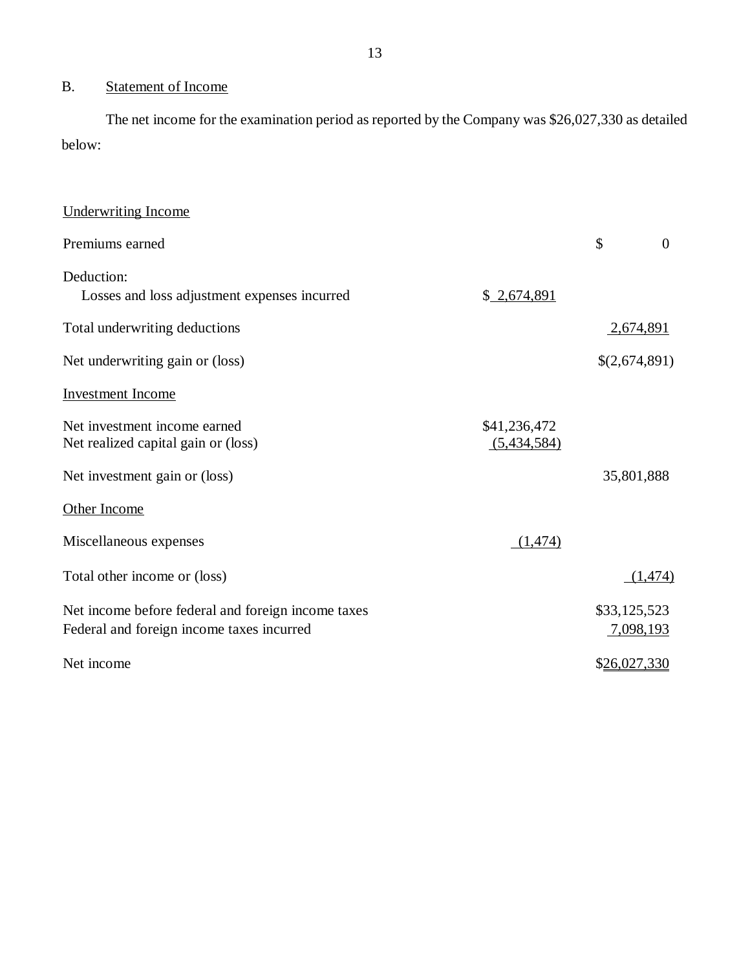### B. Statement of Income

The net income for the examination period as reported by the Company was \$26,027,330 as detailed below:

| <b>Underwriting Income</b>                         |              |                  |          |
|----------------------------------------------------|--------------|------------------|----------|
| Premiums earned                                    |              | \$               | $\theta$ |
| Deduction:                                         |              |                  |          |
| Losses and loss adjustment expenses incurred       | \$2,674,891  |                  |          |
| Total underwriting deductions                      |              | <u>2,674,891</u> |          |
| Net underwriting gain or (loss)                    |              | \$(2,674,891)    |          |
| <b>Investment Income</b>                           |              |                  |          |
| Net investment income earned                       | \$41,236,472 |                  |          |
| Net realized capital gain or (loss)                | (5,434,584)  |                  |          |
| Net investment gain or (loss)                      |              | 35,801,888       |          |
| Other Income                                       |              |                  |          |
| Miscellaneous expenses                             | (1,474)      |                  |          |
| Total other income or (loss)                       |              |                  | (1, 474) |
| Net income before federal and foreign income taxes |              | \$33,125,523     |          |
| Federal and foreign income taxes incurred          |              | 7,098,193        |          |
| Net income                                         |              | \$26,027,330     |          |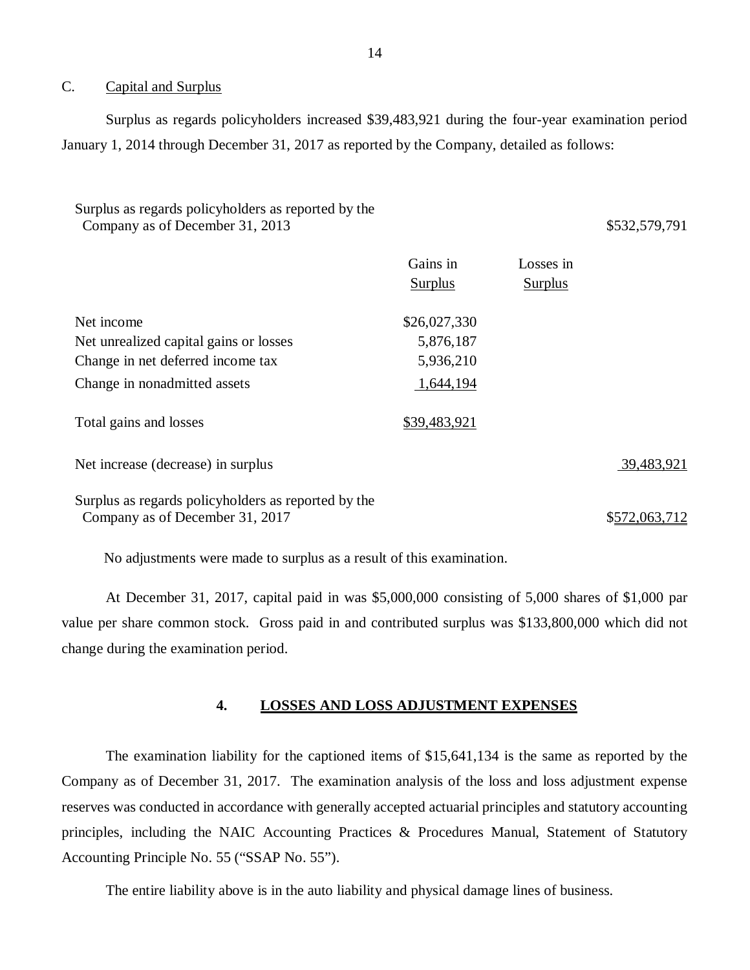### $C_{\cdot}$ Capital and Surplus

 Surplus as regards policyholders increased \$39,483,921 during the four-year examination period January 1, 2014 through December 31, 2017 as reported by the Company, detailed as follows:

### Surplus as regards policyholders as reported by the Company as of December 31, 2013 **\$532,579,791**

|                                                                                        | Gains in<br><b>Surplus</b> | Losses in<br><b>Surplus</b> |            |
|----------------------------------------------------------------------------------------|----------------------------|-----------------------------|------------|
| Net income                                                                             | \$26,027,330               |                             |            |
| Net unrealized capital gains or losses                                                 | 5,876,187                  |                             |            |
| Change in net deferred income tax                                                      | 5,936,210                  |                             |            |
| Change in nonadmitted assets                                                           | 1,644,194                  |                             |            |
| Total gains and losses                                                                 | \$39,483,921               |                             |            |
| Net increase (decrease) in surplus                                                     |                            |                             | 39,483,921 |
| Surplus as regards policyholders as reported by the<br>Company as of December 31, 2017 |                            |                             | \$572.063. |

No adjustments were made to surplus as a result of this examination.

 At December 31, 2017, capital paid in was \$5,000,000 consisting of 5,000 shares of \$1,000 par value per share common stock. Gross paid in and contributed surplus was \$133,800,000 which did not change during the examination period.

### **4. LOSSES AND LOSS ADJUSTMENT EXPENSES**

 Company as of December 31, 2017. The examination analysis of the loss and loss adjustment expense reserves was conducted in accordance with generally accepted actuarial principles and statutory accounting principles, including the NAIC Accounting Practices & Procedures Manual, Statement of Statutory Accounting Principle No. 55 ("SSAP No. 55"). The examination liability for the captioned items of \$15,641,134 is the same as reported by the

The entire liability above is in the auto liability and physical damage lines of business.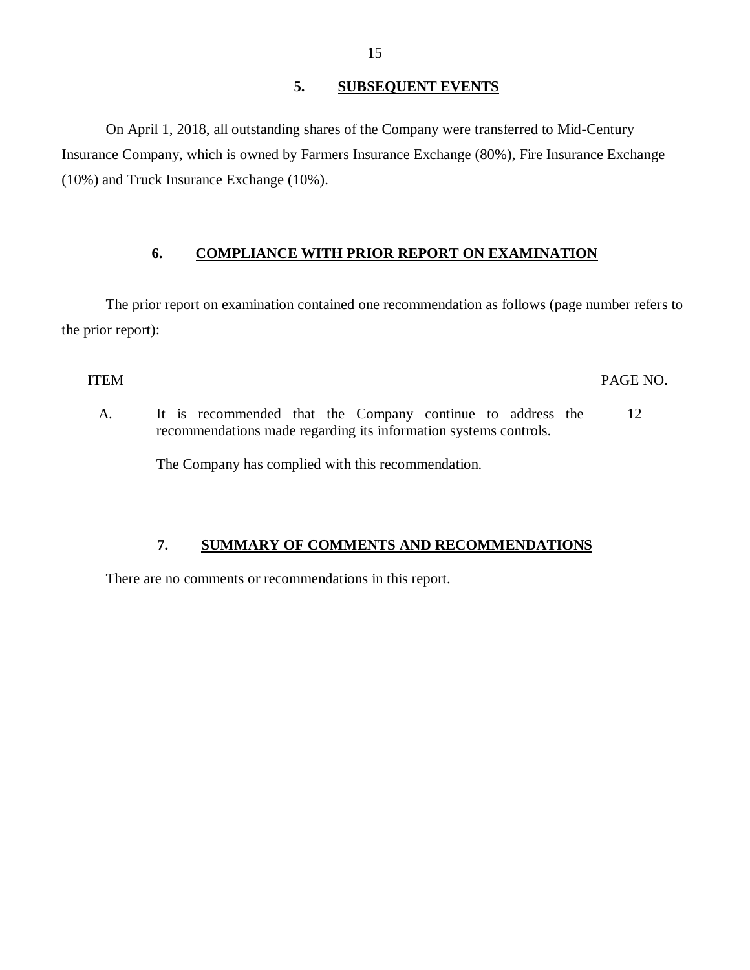### **5. SUBSEQUENT EVENTS**

<span id="page-16-0"></span> Insurance Company, which is owned by Farmers Insurance Exchange (80%), Fire Insurance Exchange (10%) and Truck Insurance Exchange (10%). On April 1, 2018, all outstanding shares of the Company were transferred to Mid-Century

## **6. COMPLIANCE WITH PRIOR REPORT ON EXAMINATION**

 The prior report on examination contained one recommendation as follows (page number refers to the prior report):

### ITEM PAGE NO.

 $A_{1}$  recommendations made regarding its information systems controls. It is recommended that the Company continue to address the 12

The Company has complied with this recommendation.

### **7. SUMMARY OF COMMENTS AND RECOMMENDATIONS**

There are no comments or recommendations in this report.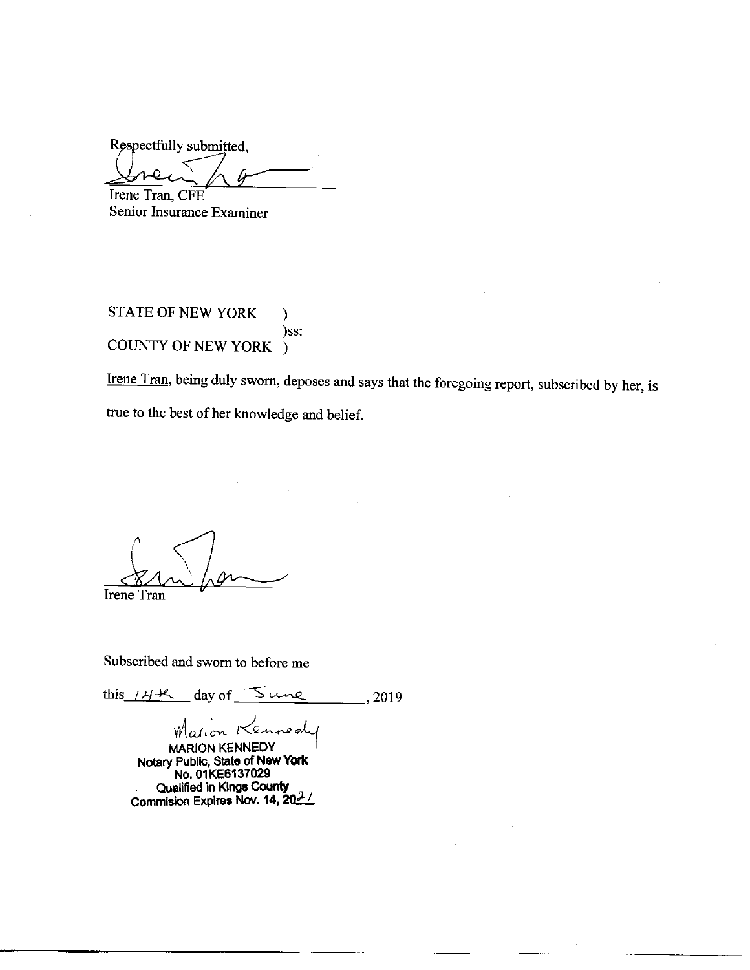Respectfully submitted, Irene Tran, CFE

Senior Insurance Examiner

STATE OF NEW YORK  $\mathcal{E}$ )ss: COUNTY OF NEW YORK )

Irene Tran, being duly sworn, deposes and says that the foregoing report, subscribed by her, is true to the best of her knowledge and belief.

Irene Tran

Subscribed and sworn to before me

this  $144$  day of  $5$  une  $\frac{1}{2019}$ 

Marion Kennede

MARION KENNEDY<br>Notary Public, State of New York<br>No. 01KE6137029 Qualified in Kings County Commision Expires Nov. 14, 202/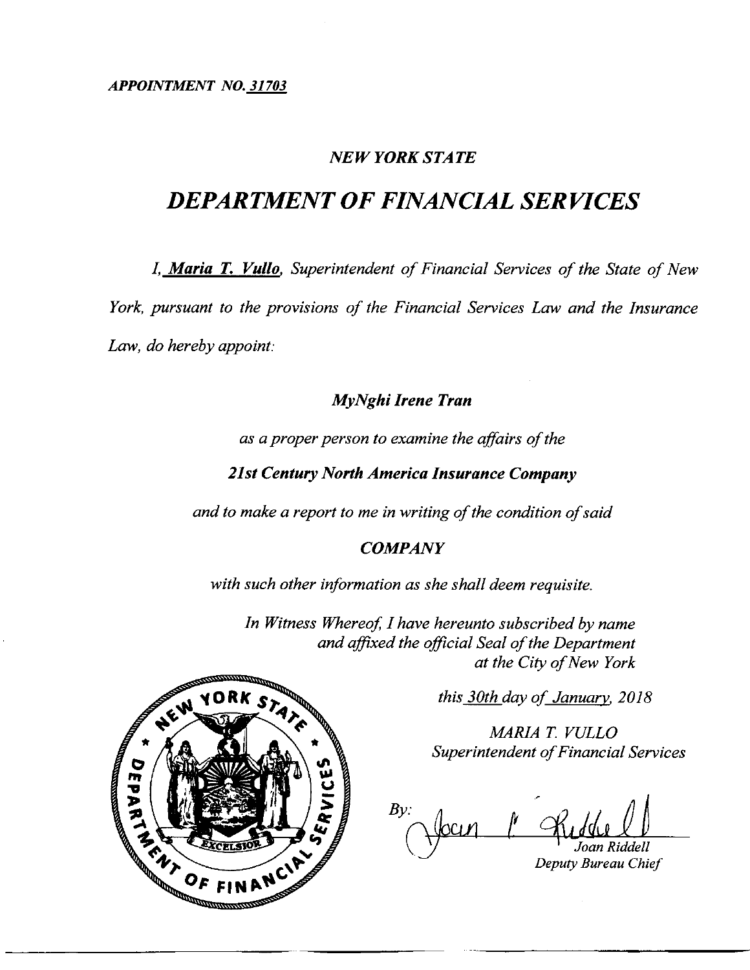APPOINTMENT NO. 31703

## **NEW YORK STATE**

# **DEPARTMENT OF FINANCIAL SERVICES**

I, Maria T. Vullo, Superintendent of Financial Services of the State of New

York, pursuant to the provisions of the Financial Services Law and the Insurance

Law, do hereby appoint:

## MyNghi Irene Tran

as a proper person to examine the affairs of the

**21st Century North America Insurance Company** 

and to make a report to me in writing of the condition of said

## **COMPANY**

with such other information as she shall deem requisite.

In Witness Whereof, I have hereunto subscribed by name and affixed the official Seal of the Department at the City of New York

this 30th day of January, 2018

MARIA T. VULLO Superintendent of Financial Services

 $B_V$ Deputy Bureau Chief